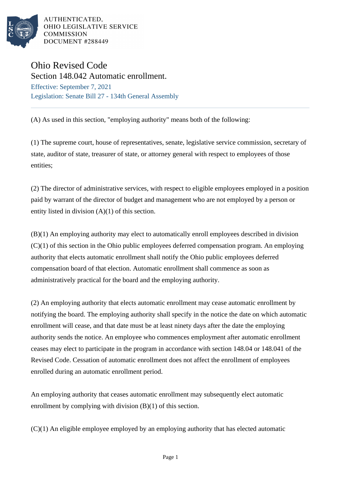

AUTHENTICATED, OHIO LEGISLATIVE SERVICE **COMMISSION** DOCUMENT #288449

## Ohio Revised Code

Section 148.042 Automatic enrollment. Effective: September 7, 2021 Legislation: Senate Bill 27 - 134th General Assembly

(A) As used in this section, "employing authority" means both of the following:

(1) The supreme court, house of representatives, senate, legislative service commission, secretary of state, auditor of state, treasurer of state, or attorney general with respect to employees of those entities;

(2) The director of administrative services, with respect to eligible employees employed in a position paid by warrant of the director of budget and management who are not employed by a person or entity listed in division (A)(1) of this section.

(B)(1) An employing authority may elect to automatically enroll employees described in division  $(C)(1)$  of this section in the Ohio public employees deferred compensation program. An employing authority that elects automatic enrollment shall notify the Ohio public employees deferred compensation board of that election. Automatic enrollment shall commence as soon as administratively practical for the board and the employing authority.

(2) An employing authority that elects automatic enrollment may cease automatic enrollment by notifying the board. The employing authority shall specify in the notice the date on which automatic enrollment will cease, and that date must be at least ninety days after the date the employing authority sends the notice. An employee who commences employment after automatic enrollment ceases may elect to participate in the program in accordance with section 148.04 or 148.041 of the Revised Code. Cessation of automatic enrollment does not affect the enrollment of employees enrolled during an automatic enrollment period.

An employing authority that ceases automatic enrollment may subsequently elect automatic enrollment by complying with division (B)(1) of this section.

(C)(1) An eligible employee employed by an employing authority that has elected automatic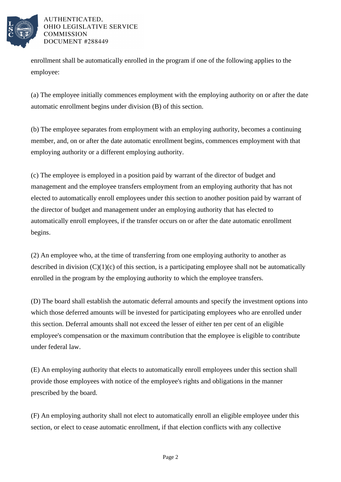

AUTHENTICATED. OHIO LEGISLATIVE SERVICE **COMMISSION** DOCUMENT #288449

enrollment shall be automatically enrolled in the program if one of the following applies to the employee:

(a) The employee initially commences employment with the employing authority on or after the date automatic enrollment begins under division (B) of this section.

(b) The employee separates from employment with an employing authority, becomes a continuing member, and, on or after the date automatic enrollment begins, commences employment with that employing authority or a different employing authority.

(c) The employee is employed in a position paid by warrant of the director of budget and management and the employee transfers employment from an employing authority that has not elected to automatically enroll employees under this section to another position paid by warrant of the director of budget and management under an employing authority that has elected to automatically enroll employees, if the transfer occurs on or after the date automatic enrollment begins.

(2) An employee who, at the time of transferring from one employing authority to another as described in division  $(C)(1)(c)$  of this section, is a participating employee shall not be automatically enrolled in the program by the employing authority to which the employee transfers.

(D) The board shall establish the automatic deferral amounts and specify the investment options into which those deferred amounts will be invested for participating employees who are enrolled under this section. Deferral amounts shall not exceed the lesser of either ten per cent of an eligible employee's compensation or the maximum contribution that the employee is eligible to contribute under federal law.

(E) An employing authority that elects to automatically enroll employees under this section shall provide those employees with notice of the employee's rights and obligations in the manner prescribed by the board.

(F) An employing authority shall not elect to automatically enroll an eligible employee under this section, or elect to cease automatic enrollment, if that election conflicts with any collective